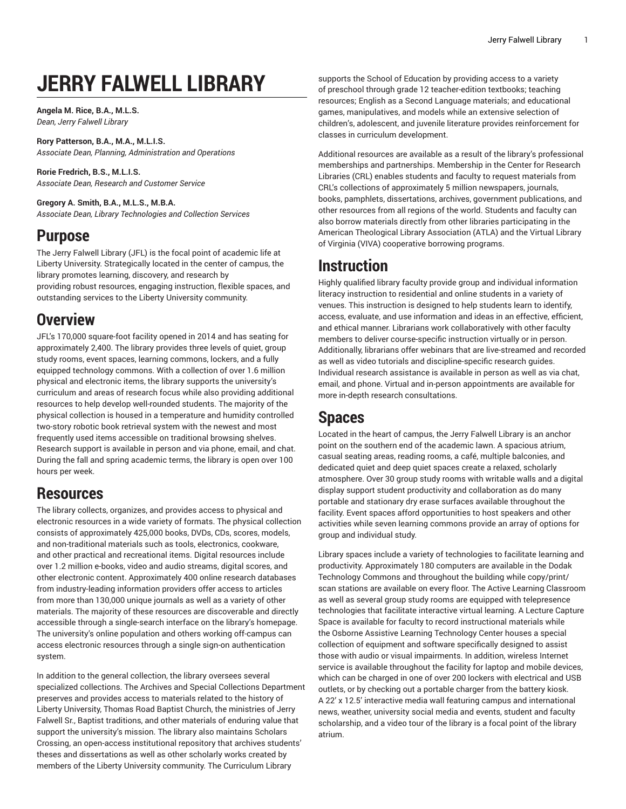# **JERRY FALWELL LIBRARY**

**Angela M. Rice, B.A., M.L.S.** *Dean, Jerry Falwell Library*

**Rory Patterson, B.A., M.A., M.L.I.S.** *Associate Dean, Planning, Administration and Operations*

**Rorie Fredrich, B.S., M.L.I.S.** *Associate Dean, Research and Customer Service*

**Gregory A. Smith, B.A., M.L.S., M.B.A.** *Associate Dean, Library Technologies and Collection Services*

# **Purpose**

The Jerry Falwell Library (JFL) is the focal point of academic life at Liberty University. Strategically located in the center of campus, the library promotes learning, discovery, and research by providing robust resources, engaging instruction, flexible spaces, and outstanding services to the Liberty University community.

# **Overview**

JFL's 170,000 square-foot facility opened in 2014 and has seating for approximately 2,400. The library provides three levels of quiet, group study rooms, event spaces, learning commons, lockers, and a fully equipped technology commons. With a collection of over 1.6 million physical and electronic items, the library supports the university's curriculum and areas of research focus while also providing additional resources to help develop well-rounded students. The majority of the physical collection is housed in a temperature and humidity controlled two-story robotic book retrieval system with the newest and most frequently used items accessible on traditional browsing shelves. Research support is available in person and via phone, email, and chat. During the fall and spring academic terms, the library is open over 100 hours per week.

# **Resources**

The library collects, organizes, and provides access to physical and electronic resources in a wide variety of formats. The physical collection consists of approximately 425,000 books, DVDs, CDs, scores, models, and non-traditional materials such as tools, electronics, cookware, and other practical and recreational items. Digital resources include over 1.2 million e-books, video and audio streams, digital scores, and other electronic content. Approximately 400 online research databases from industry-leading information providers offer access to articles from more than 130,000 unique journals as well as a variety of other materials. The majority of these resources are discoverable and directly accessible through a single-search interface on the library's homepage. The university's online population and others working off-campus can access electronic resources through a single sign-on authentication system.

In addition to the general collection, the library oversees several specialized collections. The Archives and Special Collections Department preserves and provides access to materials related to the history of Liberty University, Thomas Road Baptist Church, the ministries of Jerry Falwell Sr., Baptist traditions, and other materials of enduring value that support the university's mission. The library also maintains Scholars Crossing, an open-access institutional repository that archives students' theses and dissertations as well as other scholarly works created by members of the Liberty University community. The Curriculum Library

supports the School of Education by providing access to a variety of preschool through grade 12 teacher-edition textbooks; teaching resources; English as a Second Language materials; and educational games, manipulatives, and models while an extensive selection of children's, adolescent, and juvenile literature provides reinforcement for classes in curriculum development.

Additional resources are available as a result of the library's professional memberships and partnerships. Membership in the Center for Research Libraries (CRL) enables students and faculty to request materials from CRL's collections of approximately 5 million newspapers, journals, books, pamphlets, dissertations, archives, government publications, and other resources from all regions of the world. Students and faculty can also borrow materials directly from other libraries participating in the American Theological Library Association (ATLA) and the Virtual Library of Virginia (VIVA) cooperative borrowing programs.

### **Instruction**

Highly qualified library faculty provide group and individual information literacy instruction to residential and online students in a variety of venues. This instruction is designed to help students learn to identify, access, evaluate, and use information and ideas in an effective, efficient, and ethical manner. Librarians work collaboratively with other faculty members to deliver course-specific instruction virtually or in person. Additionally, librarians offer webinars that are live-streamed and recorded as well as video tutorials and discipline-specific research guides. Individual research assistance is available in person as well as via chat, email, and phone. Virtual and in-person appointments are available for more in-depth research consultations.

### **Spaces**

Located in the heart of campus, the Jerry Falwell Library is an anchor point on the southern end of the academic lawn. A spacious atrium, casual seating areas, reading rooms, a café, multiple balconies, and dedicated quiet and deep quiet spaces create a relaxed, scholarly atmosphere. Over 30 group study rooms with writable walls and a digital display support student productivity and collaboration as do many portable and stationary dry erase surfaces available throughout the facility. Event spaces afford opportunities to host speakers and other activities while seven learning commons provide an array of options for group and individual study.

Library spaces include a variety of technologies to facilitate learning and productivity. Approximately 180 computers are available in the Dodak Technology Commons and throughout the building while copy/print/ scan stations are available on every floor. The Active Learning Classroom as well as several group study rooms are equipped with telepresence technologies that facilitate interactive virtual learning. A Lecture Capture Space is available for faculty to record instructional materials while the Osborne Assistive Learning Technology Center houses a special collection of equipment and software specifically designed to assist those with audio or visual impairments. In addition, wireless Internet service is available throughout the facility for laptop and mobile devices, which can be charged in one of over 200 lockers with electrical and USB outlets, or by checking out a portable charger from the battery kiosk. A 22' x 12.5' interactive media wall featuring campus and international news, weather, university social media and events, student and faculty scholarship, and a video tour of the library is a focal point of the library atrium.